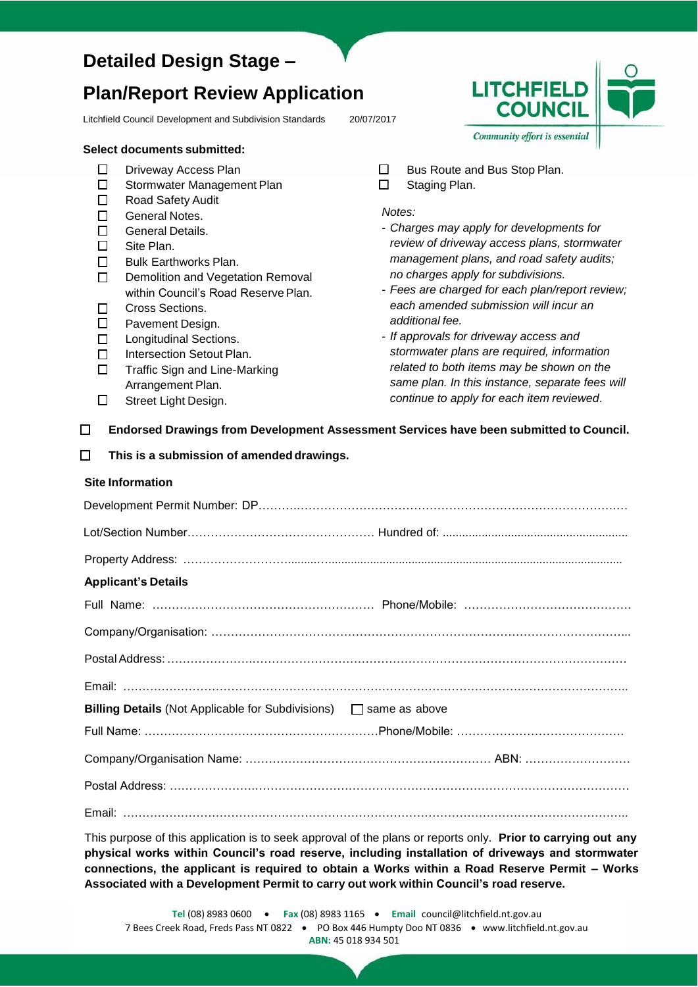## **Detailed Design Stage –**

# **Plan/Report Review Application**

Litchfield Council Development and Subdivision Standards 20/07/2017

#### **Select documents submitted:**

- $\Box$ Driveway Access Plan
- $\Box$ Stormwater Management Plan
- $\Box$ Road Safety Audit
- $\Box$ General Notes.
- $\Box$ General Details.
- $\Box$ Site Plan.
- $\Box$ Bulk Earthworks Plan.
- Demolition and Vegetation Removal  $\Box$ within Council's Road Reserve Plan.
- $\Box$ Cross Sections.
- $\Box$ Pavement Design.
- $\Box$ Longitudinal Sections.
- $\Box$ Intersection Setout Plan.
- $\Box$ Traffic Sign and Line-Marking Arrangement Plan.
- $\Box$ Street Light Design.
- $\Box$ Bus Route and Bus Stop Plan.
- $\Box$ Staging Plan.

*Notes:*

- *Charges may apply for developments for review of driveway access plans, stormwater management plans, and road safety audits; no charges apply for subdivisions.*
- *Fees are charged for each plan/report review; each amended submission will incur an additional fee.*
- *If approvals for driveway access and stormwater plans are required, information related to both items may be shown on the same plan. In this instance, separate fees will continue to apply for each item reviewed*.
- $\Box$ **Endorsed Drawings from Development Assessment Services have been submitted to Council.**
- **This is a submission of amendeddrawings.**  $\Box$

| <b>Site Information</b>    |  |
|----------------------------|--|
|                            |  |
|                            |  |
|                            |  |
| <b>Applicant's Details</b> |  |
|                            |  |
|                            |  |
|                            |  |
|                            |  |
|                            |  |
|                            |  |
|                            |  |
|                            |  |
|                            |  |

This purpose of this application is to seek approval of the plans or reports only. **Prior to carrying out any physical works within Council's road reserve, including installation of driveways and stormwater connections, the applicant is required to obtain a Works within a Road Reserve Permit – Works Associated with a Development Permit to carry out work within Council's road reserve.**

**LITCHFIELD COUNCIL** Community effort is essential